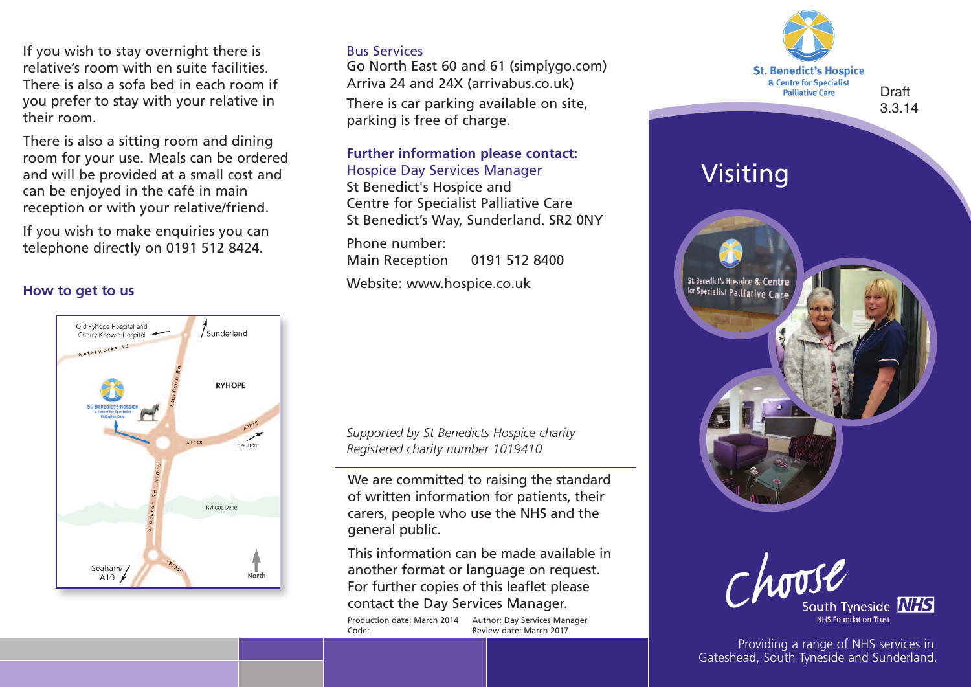If you wish to stay overnight there is relative's room with en suite facilities. There is also a sofa bed in each room if you prefer to stay with your relative in their room.

There is also a sitting room and dining room for your use. Meals can be ordered and will be provided at a small cost and can be enjoyed in the café in main reception or with your relative/friend.

If you wish to make enquiries you can telephone directly on 0191 512 8424.

#### **How to get to us**



## Bus Services

Go North East 60 and 61 (simplygo.com) Arriva 24 and 24X (arrivabus.co.uk)

There is car parking available on site, parking is free of charge.

### **Further information please contact:** Hospice Day Services Manager

St Benedict's Hospice and Centre for Specialist Palliative Care St Benedict's Way, Sunderland. SR2 0NY

Phone number: Main Reception 0191 512 8400

Website: www.hospice.co.uk

*Supported by St Benedicts Hospice charity Registered charity number 1019410*

We are committed to raising the standard of written information for patients, their carers, people who use the NHS and the general public.

This information can be made available in another format or language on request. For further copies of this leaflet please contact the Day Services Manager.

Production date: March 2014 Author: Day Services Manager Code: Review date: March 2017





Providing a range of NHS services in Gateshead, South Tyneside and Sunderland.